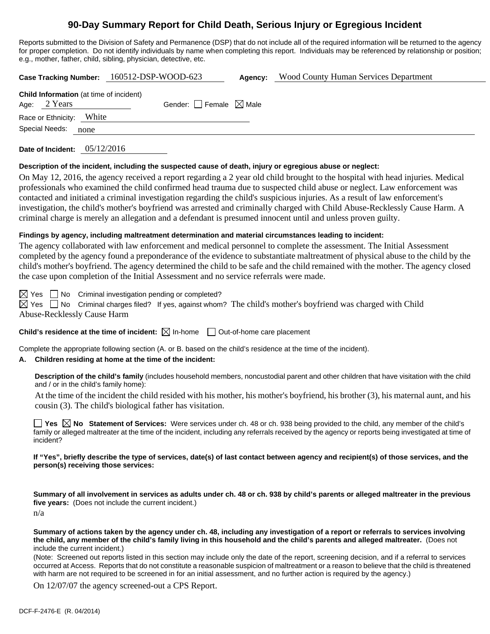# **90-Day Summary Report for Child Death, Serious Injury or Egregious Incident**

Reports submitted to the Division of Safety and Permanence (DSP) that do not include all of the required information will be returned to the agency for proper completion. Do not identify individuals by name when completing this report. Individuals may be referenced by relationship or position; e.g., mother, father, child, sibling, physician, detective, etc.

|                                         |      | Case Tracking Number: 160512-DSP-WOOD-623 | Agency: | <b>Wood County Human Services Department</b> |
|-----------------------------------------|------|-------------------------------------------|---------|----------------------------------------------|
| Child Information (at time of incident) |      |                                           |         |                                              |
| Age: 2 Years                            |      | Gender: $\Box$ Female $\boxtimes$ Male    |         |                                              |
| Race or Ethnicity: White                |      |                                           |         |                                              |
| Special Needs:                          | none |                                           |         |                                              |
|                                         |      |                                           |         |                                              |

**Date of Incident:** 05/12/2016

#### **Description of the incident, including the suspected cause of death, injury or egregious abuse or neglect:**

On May 12, 2016, the agency received a report regarding a 2 year old child brought to the hospital with head injuries. Medical professionals who examined the child confirmed head trauma due to suspected child abuse or neglect. Law enforcement was contacted and initiated a criminal investigation regarding the child's suspicious injuries. As a result of law enforcement's investigation, the child's mother's boyfriend was arrested and criminally charged with Child Abuse-Recklessly Cause Harm. A criminal charge is merely an allegation and a defendant is presumed innocent until and unless proven guilty.

### **Findings by agency, including maltreatment determination and material circumstances leading to incident:**

The agency collaborated with law enforcement and medical personnel to complete the assessment. The Initial Assessment completed by the agency found a preponderance of the evidence to substantiate maltreatment of physical abuse to the child by the child's mother's boyfriend. The agency determined the child to be safe and the child remained with the mother. The agency closed the case upon completion of the Initial Assessment and no service referrals were made.

 $\boxtimes$  Yes  $\Box$  No Criminal investigation pending or completed?

 $\boxtimes$  Yes  $\Box$  No Criminal charges filed? If yes, against whom? The child's mother's boyfriend was charged with Child Abuse-Recklessly Cause Harm

### **Child's residence at the time of incident:**  $\boxtimes$  In-home  $\Box$  Out-of-home care placement

Complete the appropriate following section (A. or B. based on the child's residence at the time of the incident).

### **A. Children residing at home at the time of the incident:**

**Description of the child's family** (includes household members, noncustodial parent and other children that have visitation with the child and / or in the child's family home):

 At the time of the incident the child resided with his mother, his mother's boyfriend, his brother (3), his maternal aunt, and his cousin (3). The child's biological father has visitation.

**Yes**  $\boxtimes$  **No** Statement of Services: Were services under ch. 48 or ch. 938 being provided to the child, any member of the child's family or alleged maltreater at the time of the incident, including any referrals received by the agency or reports being investigated at time of incident?

#### **If "Yes", briefly describe the type of services, date(s) of last contact between agency and recipient(s) of those services, and the person(s) receiving those services:**

**Summary of all involvement in services as adults under ch. 48 or ch. 938 by child's parents or alleged maltreater in the previous five years:** (Does not include the current incident.)

n/a

**Summary of actions taken by the agency under ch. 48, including any investigation of a report or referrals to services involving the child, any member of the child's family living in this household and the child's parents and alleged maltreater.** (Does not include the current incident.)

(Note: Screened out reports listed in this section may include only the date of the report, screening decision, and if a referral to services occurred at Access. Reports that do not constitute a reasonable suspicion of maltreatment or a reason to believe that the child is threatened with harm are not required to be screened in for an initial assessment, and no further action is required by the agency.)

On 12/07/07 the agency screened-out a CPS Report.